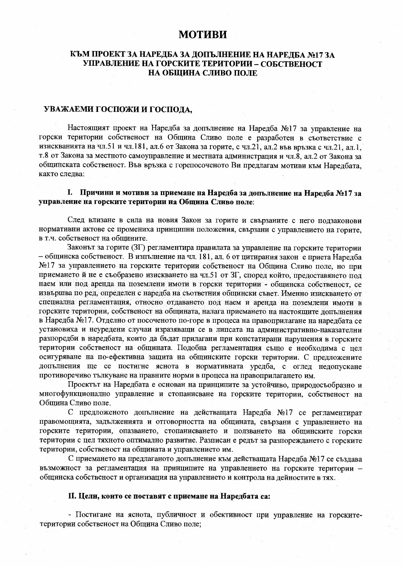# **МОТИВИ**

# КЪМ ПРОЕКТ ЗА НАРЕДБА ЗА ДОПЪЛНЕНИЕ НА НАРЕЛБА №173А УПРАВЛЕНИЕ НА ГОРСКИТЕ ТЕРИТОРИИ - СОБСТВЕНОСТ НА ОБЩИНА СЛИВО ПОЛЕ

## УВАЖАЕМИ ГОСПОЖИ И ГОСПОДА,

Настоящият проект на Наредба за допълнение на Наредба №17 за управление на горски територии собственост на Община Сливо поле е разработен в съответствие с изискванията на чл.51 и чл.181, ал.6 от Закона за горите, с чл.21, ал.2 във връзка с чл.21, ал.1, т.8 от Закона за местното самоуправление и местната администрация и чл.8, ал.2 от Закона за общинската собственост. Във връзка с горепосоченото Ви предлагам мотиви към Наредбата, както следва:

# I. Причини и мотиви за приемане на Наредба за допълнение на Наредба №17 за управление на горските територии на Община Сливо поле:

След влизане в сила на новия Закон за горите и свързаните с него подзаконови нормативни актове се промениха принципни положения, свързани с управлението на горите, в т.ч. собственост на общините.

Законът за горите (ЗГ) регламентира правилата за управление на горските територии - общинска собственост. В изпълнение на чл. 181, ал. 6 от цитирания закон е приета Наредба №17 за управлението на горските територии собственост на Община Сливо поле, но при приемането й не е съобразено изискването на чл.51 от ЗГ, според който, предоставянето под наем или под аренда на поземлени имоти в горски територии - общинска собственост, се извършва по ред, определен с наредба на съответния общински съвет. Именно изискването от специална регламентация, относно отдаването под наем и аренда на поземлени имоти в горските територии, собственост на общината, налага приемането на настоящите допълнения в Наредба №17. Отделно от посоченото по-горе в процеса на правоприлагане на наредбата се установиха и неуредени случаи изразяващи се в липсата на административно-наказателни разпоредби в наредбата, които да бъдат прилагани при констатирани нарушения в горските територии собственост на общината. Подобна регламентация също е необходима с пел осигуряване на по-ефективна защита на общинските горски територии. С предложените допълнения ще се постигне яснота в нормативната уредба, с оглед недопускане противоречиво тълкуване на правните норми в процеса на правоприлагането им.

Проектът на Наредбата е основан на принципите за устойчиво, природосъобразно и многофункционално управление и стопанисване на горските територии, собственост на Община Сливо поле.

С предложеното допълнение на действащата Наредба №17 се регламентират правомощията, задълженията и отговорността на общината, свързани с управлението на горските територии, опазването, стопанисването и ползването на общинските горски територии с цел тяхното оптимално развитие. Разписан е редът за разпореждането с горските територии, собственост на общината и управлението им.

С приемането на предлаганото допълнение към действащата Наредба №17 се създава възможност за регламентация на принципите на управлението на горските територии общинска собственост и организация на управлението и контрола на дейностите в тях.

### II. Цели, които се поставят с приемане на Наредбата са:

- Постигане на яснота, публичност и обективност при управление на горскитетеритории собственост на Община Сливо поле;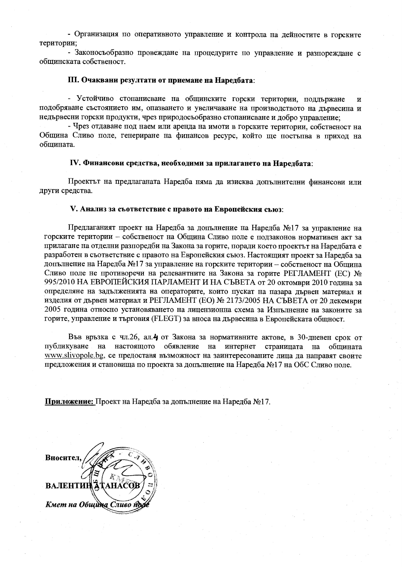- Организация по оперативното управление и контрола на дейностите в горските територии;

- Законосъобразно провеждане на процедурите по управление и разпореждане с общинската собственост.

#### III. Очаквани резултати от приемане на Наредбата:

- Устойчиво стопанисване на общинските горски територии, поддържане  $\overline{M}$ подобряване състоянието им, опазването и увеличаване на производството на дървесина и недървесни горски продукти, чрез природосъобразно стопанисване и добро управление:

- Чрез отдаване под наем или аренда на имоти в горските територии, собственост на Община Сливо поле, генериране на финансов ресурс, който ще постъпва в приход на обшината.

#### IV. Финансови средства, необходими за прилагането на Наредбата:

Проектът на предлаганата Наредба няма да изисква допълнителни финансови или други средства.

### V. Анализ за съответствие с правото на Европейския съюз:

Предлаганият проект на Наредба за допълнение на Наредба №17 за управление на горските територии - собственост на Община Сливо поле е подзаконов нормативен акт за прилагане на отделни разпоредби на Закона за горите, поради което проектът на Наредбата е разработен в съответствие с правото на Европейския съюз. Настоящият проект за Наредба за допълнение на Наредба №17 за управление на горските територии – собственост на Община Сливо поле не противоречи на релевантните на Закона за горите РЕГЛАМЕНТ (ЕС) № 995/2010 НА ЕВРОПЕЙСКИЯ ПАРЛАМЕНТ И НА СЪВЕТА от 20 октомври 2010 година за определяне на задълженията на операторите, които пускат на пазара дървен материал и изделия от дървен материал и РЕГЛАМЕНТ (ЕО) № 2173/2005 НА СЪВЕТА от 20 декември 2005 година относно установяването на лицензионна схема за Изпълнение на законите за горите, управление и търговия (FLEGT) за вноса на дървесина в Европейската общност.

Във връзка с чл.26, ал.4 от Закона за нормативните актове, в 30-дневен срок от публикуване на настоящото обявление на интернет страницата на общината www.slivopole.bg, се предоставя възможност на заинтересованите лица да направят своите предложения и становища по проекта за допълнение на Наредба №17 на ОбС Сливо поле.

Приложение: Проект на Наредба за допълнение на Наредба №17.

Вносител, **ВАЛЕНТИНА AHACOL** Кмет на Община Сливо п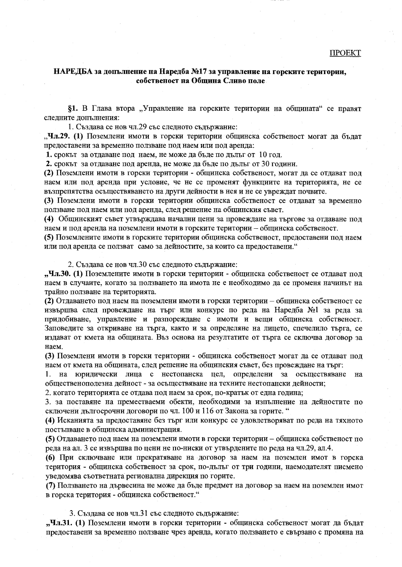#### НАРЕДБА за допълнение на Наредба №17 за управление на горските територии. собственост на Община Сливо поле-

§1. В Глава втора "Управление на горските територии на общината" се правят следните допълнения:

1. Създава се нов чл.29 със следното съдържание:

"Чл.29. (1) Поземлени имоти в горски територии общинска собственост могат да бълат предоставени за временно ползване под наем или под аренда:

1. срокът за отдаване под наем, не може да бъде по дълъг от 10 год.

2. срокът за отдаване под аренда, не може да бъде по дълъг от 30 години.

(2) Поземлени имоти в горски територии - общинска собственост, могат да се отдават под наем или под аренда при условие, че не се променят функциите на територията, не се възпрепятства осъществяването на други дейности в нея и не се увреждат почвите.

(3) Поземлени имоти в горски територии общинска собственост се отдават за временно ползване под наем или под аренда, след решение на общинския съвет.

(4) Общинският съвет утвърждава начални цени за провеждане на търгове за отдаване под наем и под аренда на поземлени имоти в горските територии - общинска собственост.

(5) Поземлените имоти в горските територии общинска собственост, предоставени под наем или под аренда се ползват само за дейностите, за които са предоставени."

2. Създава се нов чл.30 със следното съдържание:

"Чл.30. (1) Поземлените имоти в горски територии - общинска собственост се отдават под наем в случаите, когато за ползването на имота не е необходимо да се променя начинът на трайно ползване на територията.

(2) Отдаването под наем на поземлени имоти в горски територии – общинска собственост се извършва след провеждане на търг или конкурс по реда на Наредба №1 за реда за придобиване, управление и разпореждане с имоти и вещи общинска собственост. Заповедите за откриване на търга, както и за определяне на лицето, спечелило търга, се издават от кмета на общината. Въз основа на резултатите от търга се сключва договор за наем.

(3) Поземлени имоти в горски територии - общинска собственост могат да се отдават под наем от кмета на общината, след решение на общинския съвет, без провеждане на търг:

1. на юридически лица с нестопанска цел, определени за осъществяване на общественополезна дейност - за осъществяване на техните нестопански дейности;

2. когато територията се отдава под наем за срок, по-кратък от една година;

3. за поставяне на преместваеми обекти, необходими за изпълнение на дейностите по сключени дългосрочни договори по чл. 100 и 116 от Закона за горите. "

(4) Исканията за предоставяне без търг или конкурс се удовлетворяват по реда на тяхното постъпване в общинска администрация.

(5) Отдаването под наем на поземлени имоти в горски територии - общинска собственост по реда на ал. 3 се извършва по цени не по-ниски от утвърдените по реда на чл.29, ал.4.

(6) При сключване или прекратяване на договор за наем на поземлен имот в горска територия - общинска собственост за срок, по-дълъг от три години, наемодателят писмено уведомява съответната регионална дирекция по горите.

(7) Ползването на дървесина не може да бъде предмет на договор за наем на поземлен имот в горска територия - общинска собственост."

3. Създава се нов чл.31 със следното съдържание:

"Чл.31. (1) Поземлени имоти в горски територии - общинска собственост могат да бъдат предоставени за временно ползване чрез аренда, когато ползването е свързано с промяна на